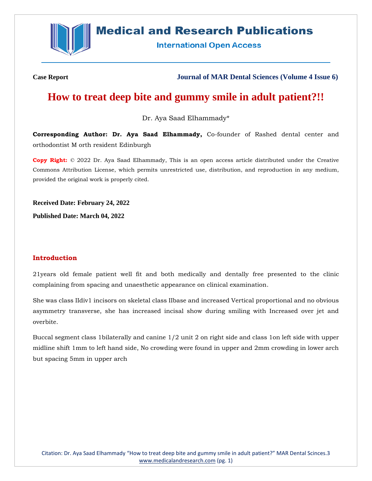

# **Medical and Research Publications**

**International Open Access** 

**Case Report Journal of MAR Dental Sciences (Volume 4 Issue 6)**

# **How to treat deep bite and gummy smile in adult patient?!!**

Dr. Aya Saad Elhammady\*

**Corresponding Author: Dr. Aya Saad Elhammady,** Co-founder of Rashed dental center and orthodontist M orth resident Edinburgh

**Copy Right:** © 2022 Dr. Aya Saad Elhammady, This is an open access article distributed under the Creative Commons Attribution License, which permits unrestricted use, distribution, and reproduction in any medium, provided the original work is properly cited.

**Received Date: February 24, 2022**

**Published Date: March 04, 2022**

#### **Introduction**

21years old female patient well fit and both medically and dentally free presented to the clinic complaining from spacing and unaesthetic appearance on clinical examination.

She was class IIdiv1 incisors on skeletal class IIbase and increased Vertical proportional and no obvious asymmetry transverse, she has increased incisal show during smiling with Increased over jet and overbite.

Buccal segment class 1bilaterally and canine 1/2 unit 2 on right side and class 1on left side with upper midline shift 1mm to left hand side, No crowding were found in upper and 2mm crowding in lower arch but spacing 5mm in upper arch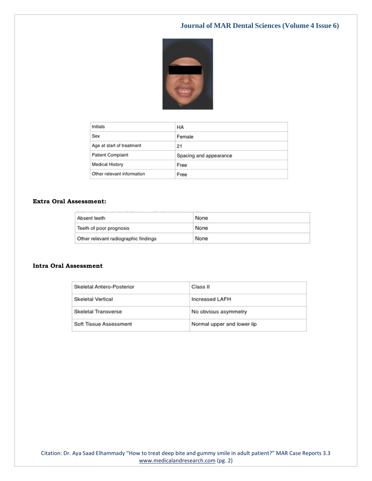

| Initials                   | HA                     |
|----------------------------|------------------------|
| Sex                        | Female                 |
| Age at start of treatment  | 21                     |
| <b>Patient Complaint</b>   | Spacing and appearance |
| Medical History            | Free                   |
| Other relevant information | Free                   |

#### **Extra Oral Assessment:**

| Absent teeth                         | None |
|--------------------------------------|------|
| Teeth of poor prognosis              | None |
| Other relevant radiographic findings | None |

#### **Intra Oral Assessment**

| Skeletal Antero-Posterior  | Class II                   |
|----------------------------|----------------------------|
| Skeletal Vertical          | Increased LAFH             |
| <b>Skeletal Transverse</b> | No obvious asymmetry       |
| Soft Tissue Assessment     | Normal upper and lower lip |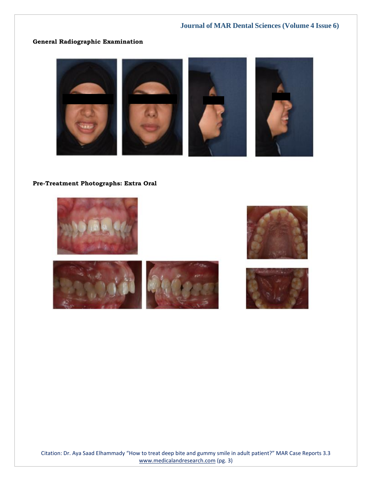## **General Radiographic Examination**



#### **Pre-Treatment Photographs: Extra Oral**





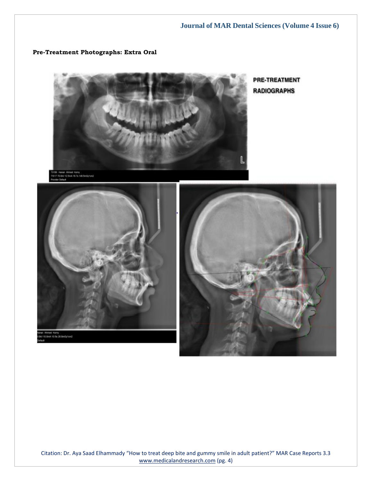#### **Pre-Treatment Photographs: Extra Oral**



**PRE-TREATMENT RADIOGRAPHS** 





Citation: Dr. Aya Saad Elhammady "How to treat deep bite and gummy smile in adult patient?" MAR Case Reports 3.3 [www.medicalandresearch.com](http://www.medicalandresearch.com/) (pg. 4)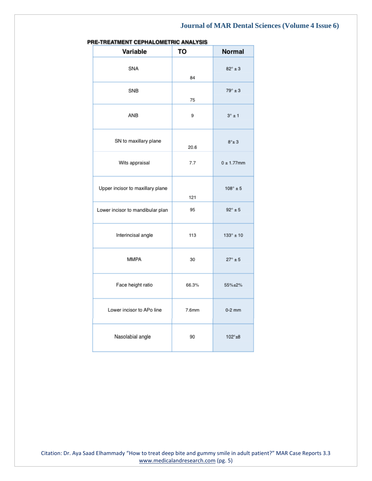| E-IREAIMENT CEPHALOMETRIC ANALYSIS |       |                    |
|------------------------------------|-------|--------------------|
| Variable                           | TO    | <b>Normal</b>      |
| SNA                                | 84    | $82^\circ \pm 3$   |
| SNB                                | 75    | $79^\circ \pm 3$   |
| ANB                                | 9     | $3^\circ \pm 1$    |
| SN to maxillary plane              | 20.6  | $8^\circ \pm 3$    |
| Wits appraisal                     | 7.7   | $0 \pm 1.77$ mm    |
| Upper incisor to maxillary plane   | 121   | $108^\circ \pm 5$  |
| Lower incisor to mandibular plan   | 95    | $92^\circ \pm 5$   |
| Interincisal angle                 | 113   | $133^\circ \pm 10$ |
| <b>MMPA</b>                        | 30    | $27^\circ \pm 5$   |
| Face height ratio                  | 66.3% | 55%±2%             |
| Lower incisor to APo line          | 7.6mm | $0-2$ mm           |
| Nasolabial angle                   | 90    | $102^{\circ}$ ±8   |

| PRE-TREATMENT CEPHALOMETRIC ANALYSIS |  |
|--------------------------------------|--|
|--------------------------------------|--|

Citation: Dr. Aya Saad Elhammady "How to treat deep bite and gummy smile in adult patient?" MAR Case Reports 3.3 [www.medicalandresearch.com](http://www.medicalandresearch.com/) (pg. 5)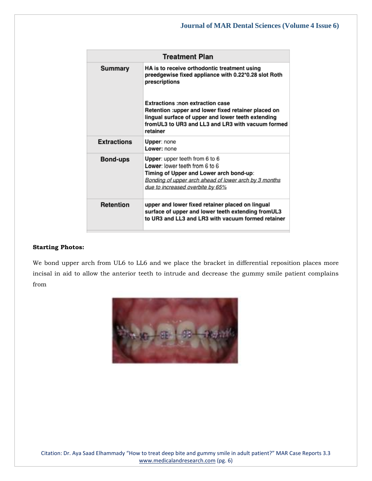| <b>Treatment Plan</b> |                                                                                                                                                                                                                                                                                                                                                |  |
|-----------------------|------------------------------------------------------------------------------------------------------------------------------------------------------------------------------------------------------------------------------------------------------------------------------------------------------------------------------------------------|--|
| Summary               | HA is to receive orthodontic treatment using<br>preedgewise fixed appliance with 0.22*0.28 slot Roth<br>prescriptions<br><b>Extractions :non extraction case</b><br>Retention :upper and lower fixed retainer placed on<br>lingual surface of upper and lower teeth extending<br>fromUL3 to UR3 and LL3 and LR3 with vacuum formed<br>retainer |  |
| <b>Extractions</b>    | Upper: none<br>Lower: none                                                                                                                                                                                                                                                                                                                     |  |
| Bond-ups              | Upper: upper teeth from 6 to 6<br>Lower: lower teeth from 6 to 6<br>Timing of Upper and Lower arch bond-up:<br>Bonding of upper arch ahead of lower arch by 3 months<br>due to increased overbite by 65%                                                                                                                                       |  |
| Retention             | upper and lower fixed retainer placed on lingual<br>surface of upper and lower teeth extending fromUL3<br>to UR3 and LL3 and LR3 with vacuum formed retainer                                                                                                                                                                                   |  |

#### **Starting Photos:**

We bond upper arch from UL6 to LL6 and we place the bracket in differential reposition places more incisal in aid to allow the anterior teeth to intrude and decrease the gummy smile patient complains from

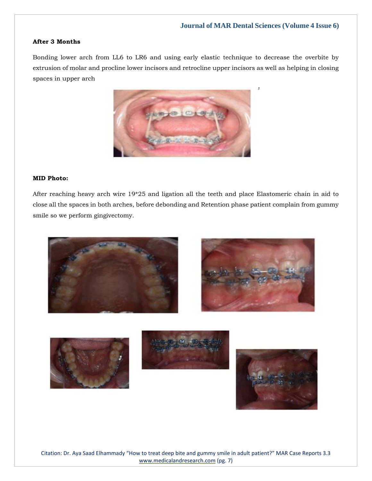#### **After 3 Months**

Bonding lower arch from LL6 to LR6 and using early elastic technique to decrease the overbite by extrusion of molar and procline lower incisors and retrocline upper incisors as well as helping in closing spaces in upper arch



#### **MID Photo:**

After reaching heavy arch wire 19\*25 and ligation all the teeth and place Elastomeric chain in aid to close all the spaces in both arches, before debonding and Retention phase patient complain from gummy smile so we perform gingivectomy.









Citation: Dr. Aya Saad Elhammady "How to treat deep bite and gummy smile in adult patient?" MAR Case Reports 3.3 [www.medicalandresearch.com](http://www.medicalandresearch.com/) (pg. 7)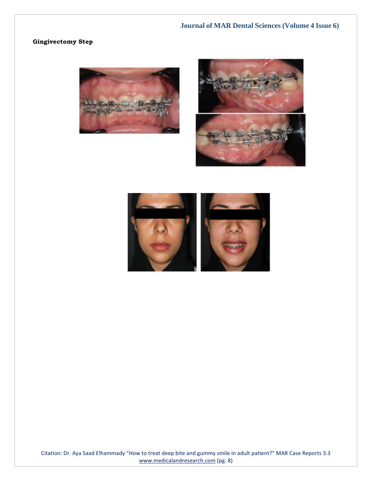## **Gingivectomy Step**







Citation: Dr. Aya Saad Elhammady "How to treat deep bite and gummy smile in adult patient?" MAR Case Reports 3.3 [www.medicalandresearch.com](http://www.medicalandresearch.com/) (pg. 8)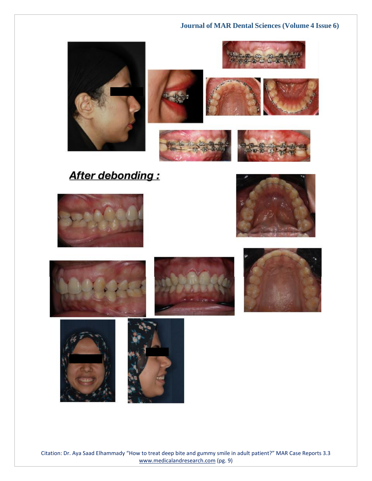







# After debonding:

















Citation: Dr. Aya Saad Elhammady "How to treat deep bite and gummy smile in adult patient?" MAR Case Reports 3.3 [www.medicalandresearch.com](http://www.medicalandresearch.com/) (pg. 9)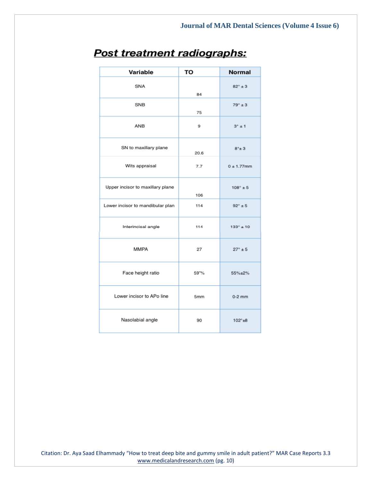| Variable                         | TO   | <b>Normal</b>        |
|----------------------------------|------|----------------------|
| SNA                              | 84   | $82^\circ \pm 3$     |
| <b>SNB</b>                       | 75   | $79^\circ \pm 3$     |
| <b>ANB</b>                       | 9    | $3^\circ \pm 1$      |
| SN to maxillary plane            | 20.6 | $8^\circ \pm 3$      |
| Wits appraisal                   | 7.7  | $0 \pm 1.77$ mm      |
| Upper incisor to maxillary plane | 106  | $108^\circ \pm 5$    |
| Lower incisor to mandibular plan | 114  | $92^\circ \pm 5$     |
| Interincisal angle               | 114  | $133^{\circ} \pm 10$ |
| <b>MMPA</b>                      | 27   | $27^\circ \pm 5$     |
| Face height ratio                | 59"% | 55%±2%               |
| Lower incisor to APo line        | 5mm  | $0-2$ mm             |
| Nasolabial angle                 | 90   | $102^{\circ}$ ±8     |

# Post treatment radiographs:

Citation: Dr. Aya Saad Elhammady "How to treat deep bite and gummy smile in adult patient?" MAR Case Reports 3.3 [www.medicalandresearch.com](http://www.medicalandresearch.com/) (pg. 10)